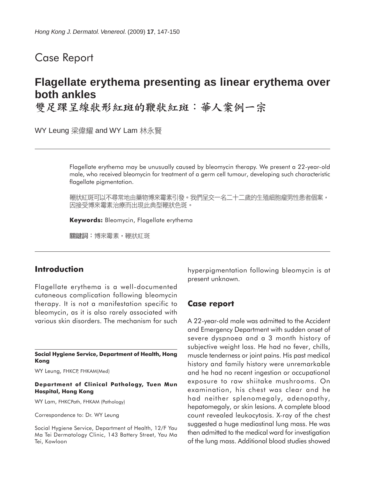# Case Report

# **Flagellate erythema presenting as linear erythema over both ankles**

雙足踝呈線狀形紅斑的鞭狀紅斑︰華人案例一宗

WY Leung 梁偉耀 and WY Lam 林永賢

Flagellate erythema may be unusually caused by bleomycin therapy. We present a 22-year-old male, who received bleomycin for treatment of a germ cell tumour, developing such characteristic flagellate pigmentation.

鞭狀紅斑可以不尋常地由藥物博來霉素引發。我們呈交一名二十二歲的生殖細胞瘤男性患者個案, 因接受博來霉素治療而出現此典型鞭狀色斑。

**Keywords:** Bleomycin, Flagellate erythema

關鍵詞:博來霉素,鞭狀紅斑

### **Introduction**

Flagellate erythema is a well-documented cutaneous complication following bleomycin therapy. It is not a manifestation specific to bleomycin, as it is also rarely associated with various skin disorders. The mechanism for such

**Social Hygiene Service, Department of Health, Hong Kong**

WY Leung, FHKCP, FHKAM(Med)

#### **Department of Clinical Pathology, Tuen Mun Hospital, Hong Kong**

WY Lam, FHKCPath, FHKAM (Pathology)

Correspondence to: Dr. WY Leung

Social Hygiene Service, Department of Health, 12/F Yau Ma Tei Dermatology Clinic, 143 Battery Street, Yau Ma Tei, Kowloon

hyperpigmentation following bleomycin is at present unknown.

#### **Case report**

A 22-year-old male was admitted to the Accident and Emergency Department with sudden onset of severe dyspnoea and a 3 month history of subjective weight loss. He had no fever, chills, muscle tenderness or joint pains. His past medical history and family history were unremarkable and he had no recent ingestion or occupational exposure to raw shiitake mushrooms. On examination, his chest was clear and he had neither splenomegaly, adenopathy, hepatomegaly, or skin lesions. A complete blood count revealed leukocytosis. X-ray of the chest suggested a huge mediastinal lung mass. He was then admitted to the medical ward for investigation of the lung mass. Additional blood studies showed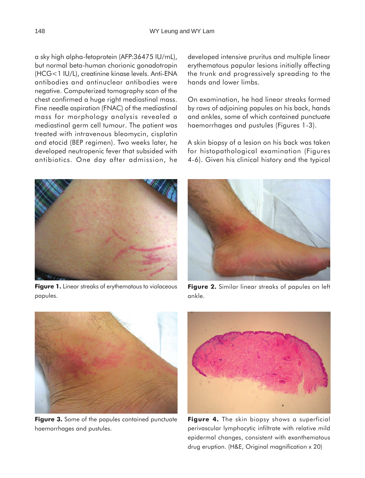a sky high alpha-fetoprotein (AFP:36475 IU/mL), but normal beta-human chorionic gonadotropin (HCG<1 IU/L), creatinine kinase levels. Anti-ENA antibodies and antinuclear antibodies were negative. Computerized tomography scan of the chest confirmed a huge right mediastinal mass. Fine needle aspiration (FNAC) of the mediastinal mass for morphology analysis revealed a mediastinal germ cell tumour. The patient was treated with intravenous bleomycin, cisplatin and etocid (BEP regimen). Two weeks later, he developed neutropenic fever that subsided with antibiotics. One day after admission, he developed intensive pruritus and multiple linear erythematous papular lesions initially affecting the trunk and progressively spreading to the hands and lower limbs.

On examination, he had linear streaks formed by rows of adjoining papules on his back, hands and ankles, some of which contained punctuate haemorrhages and pustules (Figures 1-3).

A skin biopsy of a lesion on his back was taken for histopathological examination (Figures 4-6). Given his clinical history and the typical



**Figure 1.** Linear streaks of erythematous to violaceous papules.



**Figure 2.** Similar linear streaks of papules on left ankle.



**Figure 3.** Some of the papules contained punctuate haemorrhages and pustules.



**Figure 4.** The skin biopsy shows a superficial perivascular lymphocytic infiltrate with relative mild epidermal changes, consistent with exanthematous drug eruption. (H&E, Original magnification x 20)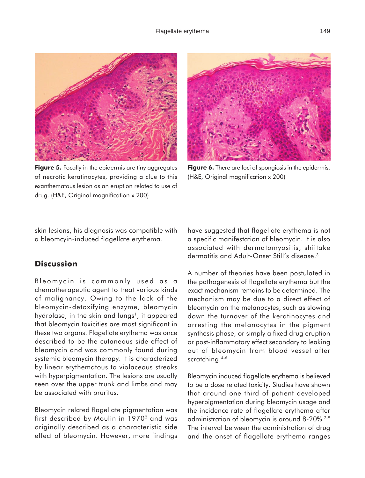

**Figure 5.** Focally in the epidermis are tiny aggregates of necrotic keratinocytes, providing a clue to this exanthematous lesion as an eruption related to use of drug. (H&E, Original magnification x 200)



**Figure 6.** There are foci of spongiosis in the epidermis. (H&E, Original magnification x 200)

skin lesions, his diagnosis was compatible with a bleomcyin-induced flagellate erythema.

## **Discussion**

Bleomycin is commonly used as a chemotherapeutic agent to treat various kinds of malignancy. Owing to the lack of the bleomycin-detoxifying enzyme, bleomycin hydrolase, in the skin and lungs<sup>1</sup>, it appeared that bleomycin toxicities are most significant in these two organs. Flagellate erythema was once described to be the cutaneous side effect of bleomycin and was commonly found during systemic bleomycin therapy. It is characterized by linear erythematous to violaceous streaks with hyperpigmentation. The lesions are usually seen over the upper trunk and limbs and may be associated with pruritus.

Bleomycin related flagellate pigmentation was first described by Moulin in 1970<sup>2</sup> and was originally described as a characteristic side effect of bleomycin. However, more findings have suggested that flagellate erythema is not a specific manifestation of bleomycin. It is also associated with dermatomyositis, shiitake dermatitis and Adult-Onset Still's disease<sup>3</sup>

A number of theories have been postulated in the pathogenesis of flagellate erythema but the exact mechanism remains to be determined. The mechanism may be due to a direct effect of bleomycin on the melanocytes, such as slowing down the turnover of the keratinocytes and arresting the melanocytes in the pigment synthesis phase, or simply a fixed drug eruption or post-inflammatory effect secondary to leaking out of bleomycin from blood vessel after scratching.<sup>4-6</sup>

Bleomycin induced flagellate erythema is believed to be a dose related toxicity. Studies have shown that around one third of patient developed hyperpigmentation during bleomycin usage and the incidence rate of flagellate erythema after administration of bleomycin is around 8-20%.<sup>7-9</sup> The interval between the administration of drug and the onset of flagellate erythema ranges